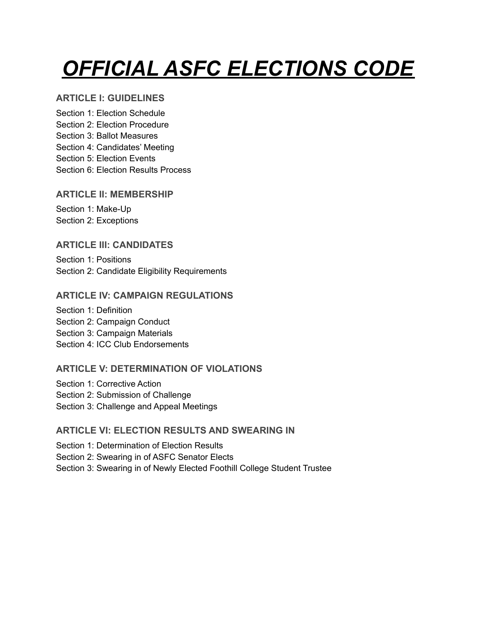# *OFFICIAL ASFC ELECTIONS CODE*

# **ARTICLE I: GUIDELINES**

Section 1: Election Schedule Section 2: Election Procedure Section 3: Ballot Measures Section 4: Candidates' Meeting Section 5: Election Events Section 6: Election Results Process

# **ARTICLE II: MEMBERSHIP**

Section 1: Make-Up Section 2: Exceptions

# **ARTICLE III: CANDIDATES**

Section 1: Positions Section 2: Candidate Eligibility Requirements

# **ARTICLE IV: CAMPAIGN REGULATIONS**

Section 1: Definition Section 2: Campaign Conduct Section 3: Campaign Materials Section 4: ICC Club Endorsements

# **ARTICLE V: DETERMINATION OF VIOLATIONS**

Section 1: Corrective Action Section 2: Submission of Challenge Section 3: Challenge and Appeal Meetings

# **ARTICLE VI: ELECTION RESULTS AND SWEARING IN**

Section 1: Determination of Election Results

Section 2: Swearing in of ASFC Senator Elects

Section 3: Swearing in of Newly Elected Foothill College Student Trustee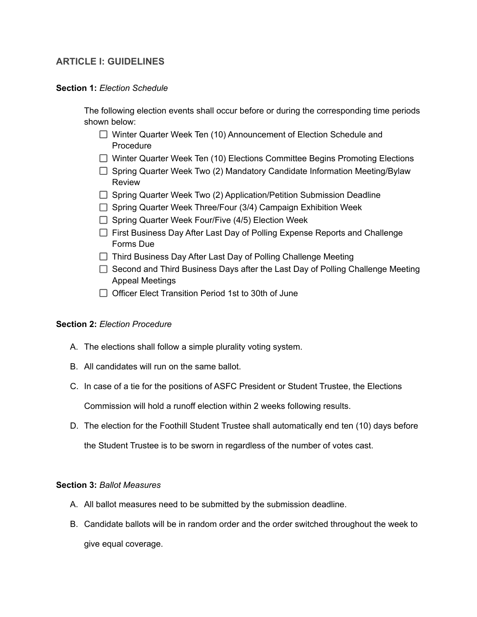## **ARTICLE I: GUIDELINES**

#### **Section 1:** *Election Schedule*

The following election events shall occur before or during the corresponding time periods shown below:

- □ Winter Quarter Week Ten (10) Announcement of Election Schedule and **Procedure**
- □ Winter Quarter Week Ten (10) Elections Committee Begins Promoting Elections
- $\Box$  Spring Quarter Week Two (2) Mandatory Candidate Information Meeting/Bylaw Review
- $\Box$  Spring Quarter Week Two (2) Application/Petition Submission Deadline
- $\Box$  Spring Quarter Week Three/Four (3/4) Campaign Exhibition Week
- $\Box$  Spring Quarter Week Four/Five (4/5) Election Week
- $\Box$  First Business Day After Last Day of Polling Expense Reports and Challenge Forms Due
- $\Box$  Third Business Day After Last Day of Polling Challenge Meeting
- $\Box$  Second and Third Business Days after the Last Day of Polling Challenge Meeting Appeal Meetings
- $\Box$  Officer Elect Transition Period 1st to 30th of June

#### **Section 2:** *Election Procedure*

- A. The elections shall follow a simple plurality voting system.
- B. All candidates will run on the same ballot.
- C. In case of a tie for the positions of ASFC President or Student Trustee, the Elections

Commission will hold a runoff election within 2 weeks following results.

D. The election for the Foothill Student Trustee shall automatically end ten (10) days before

the Student Trustee is to be sworn in regardless of the number of votes cast.

#### **Section 3:** *Ballot Measures*

- A. All ballot measures need to be submitted by the submission deadline.
- B. Candidate ballots will be in random order and the order switched throughout the week to give equal coverage.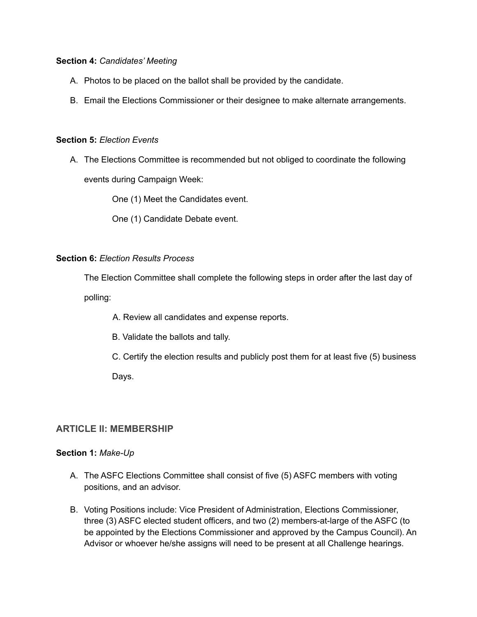#### **Section 4:** *Candidates' Meeting*

- A. Photos to be placed on the ballot shall be provided by the candidate.
- B. Email the Elections Commissioner or their designee to make alternate arrangements.

#### **Section 5:** *Election Events*

A. The Elections Committee is recommended but not obliged to coordinate the following

events during Campaign Week:

One (1) Meet the Candidates event.

One (1) Candidate Debate event.

#### **Section 6:** *Election Results Process*

The Election Committee shall complete the following steps in order after the last day of

polling:

- A. Review all candidates and expense reports.
- B. Validate the ballots and tally.
- C. Certify the election results and publicly post them for at least five (5) business Days.

## **ARTICLE II: MEMBERSHIP**

#### **Section 1:** *Make-Up*

- A. The ASFC Elections Committee shall consist of five (5) ASFC members with voting positions, and an advisor.
- B. Voting Positions include: Vice President of Administration, Elections Commissioner, three (3) ASFC elected student officers, and two (2) members-at-large of the ASFC (to be appointed by the Elections Commissioner and approved by the Campus Council). An Advisor or whoever he/she assigns will need to be present at all Challenge hearings.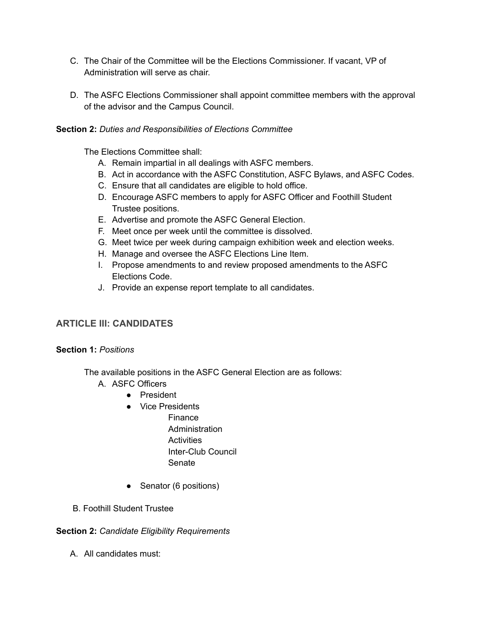- C. The Chair of the Committee will be the Elections Commissioner. If vacant, VP of Administration will serve as chair.
- D. The ASFC Elections Commissioner shall appoint committee members with the approval of the advisor and the Campus Council.

## **Section 2:** *Duties and Responsibilities of Elections Committee*

The Elections Committee shall:

- A. Remain impartial in all dealings with ASFC members.
- B. Act in accordance with the ASFC Constitution, ASFC Bylaws, and ASFC Codes.
- C. Ensure that all candidates are eligible to hold office.
- D. Encourage ASFC members to apply for ASFC Officer and Foothill Student Trustee positions.
- E. Advertise and promote the ASFC General Election.
- F. Meet once per week until the committee is dissolved.
- G. Meet twice per week during campaign exhibition week and election weeks.
- H. Manage and oversee the ASFC Elections Line Item.
- I. Propose amendments to and review proposed amendments to the ASFC Elections Code.
- J. Provide an expense report template to all candidates.

## **ARTICLE III: CANDIDATES**

#### **Section 1:** *Positions*

The available positions in the ASFC General Election are as follows:

- A. ASFC Officers
	- President
	- Vice Presidents
		- **Finance** Administration **Activities** Inter-Club Council Senate
	- Senator (6 positions)
- B. Foothill Student Trustee

#### **Section 2:** *Candidate Eligibility Requirements*

A. All candidates must: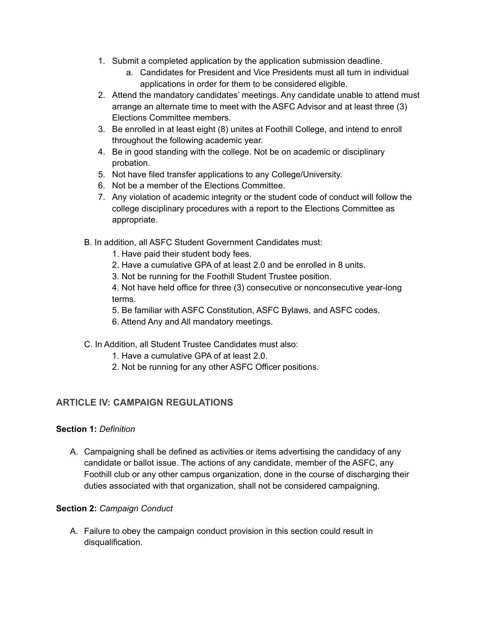- 1. Submit a completed application by the application submission deadline.
	- a. Candidates for President and Vice Presidents must all turn in individual applications in order for them to be considered eligible.
- 2. Attend the mandatory candidates' meetings. Any candidate unable to attend must arrange an alternate time to meet with the ASFC Advisor and at least three (3) Elections Committee members.
- 3. Be enrolled in at least eight (8) unites at Foothill College, and intend to enroll throughout the following academic year.
- 4. Be in good standing with the college. Not be on academic or disciplinary probation.
- 5. Not have filed transfer applications to any College/University.
- 6. Not be a member of the Elections Committee.
- 7. Any violation of academic integrity or the student code of conduct will follow the college disciplinary procedures with a report to the Elections Committee as appropriate.
- B. In addition, all ASFC Student Government Candidates must:
	- 1. Have paid their student body fees.
	- 2. Have a cumulative GPA of at least 2.0 and be enrolled in 8 units.
	- 3. Not be running for the Foothill Student Trustee position.

4. Not have held office for three (3) consecutive or nonconsecutive year-long terms.

- 5. Be familiar with ASFC Constitution, ASFC Bylaws, and ASFC codes.
- 6. Attend Any and All mandatory meetings.
- C. In Addition, all Student Trustee Candidates must also:
	- 1. Have a cumulative GPA of at least 2.0.
	- 2. Not be running for any other ASFC Officer positions.

# **ARTICLE IV: CAMPAIGN REGULATIONS**

## **Section 1:** *Definition*

A. Campaigning shall be defined as activities or items advertising the candidacy of any candidate or ballot issue. The actions of any candidate, member of the ASFC, any Foothill club or any other campus organization, done in the course of discharging their duties associated with that organization, shall not be considered campaigning.

## **Section 2:** *Campaign Conduct*

A. Failure to obey the campaign conduct provision in this section could result in disqualification.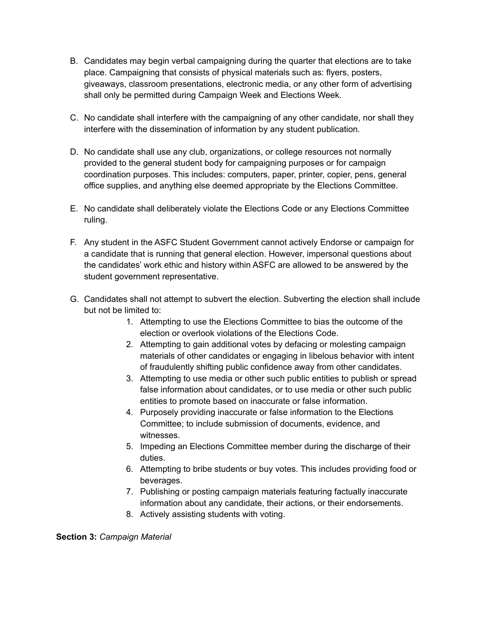- B. Candidates may begin verbal campaigning during the quarter that elections are to take place. Campaigning that consists of physical materials such as: flyers, posters, giveaways, classroom presentations, electronic media, or any other form of advertising shall only be permitted during Campaign Week and Elections Week.
- C. No candidate shall interfere with the campaigning of any other candidate, nor shall they interfere with the dissemination of information by any student publication.
- D. No candidate shall use any club, organizations, or college resources not normally provided to the general student body for campaigning purposes or for campaign coordination purposes. This includes: computers, paper, printer, copier, pens, general office supplies, and anything else deemed appropriate by the Elections Committee.
- E. No candidate shall deliberately violate the Elections Code or any Elections Committee ruling.
- F. Any student in the ASFC Student Government cannot actively Endorse or campaign for a candidate that is running that general election. However, impersonal questions about the candidates' work ethic and history within ASFC are allowed to be answered by the student government representative.
- G. Candidates shall not attempt to subvert the election. Subverting the election shall include but not be limited to:
	- 1. Attempting to use the Elections Committee to bias the outcome of the election or overlook violations of the Elections Code.
	- 2. Attempting to gain additional votes by defacing or molesting campaign materials of other candidates or engaging in libelous behavior with intent of fraudulently shifting public confidence away from other candidates.
	- 3. Attempting to use media or other such public entities to publish or spread false information about candidates, or to use media or other such public entities to promote based on inaccurate or false information.
	- 4. Purposely providing inaccurate or false information to the Elections Committee; to include submission of documents, evidence, and witnesses.
	- 5. Impeding an Elections Committee member during the discharge of their duties.
	- 6. Attempting to bribe students or buy votes. This includes providing food or beverages.
	- 7. Publishing or posting campaign materials featuring factually inaccurate information about any candidate, their actions, or their endorsements.
	- 8. Actively assisting students with voting.

**Section 3:** *Campaign Material*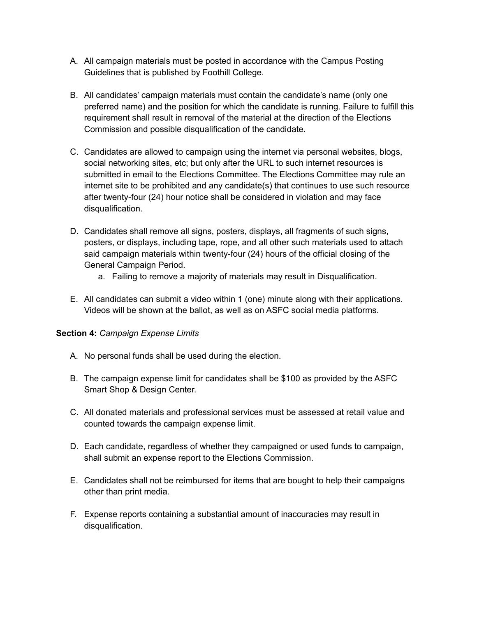- A. All campaign materials must be posted in accordance with the Campus Posting Guidelines that is published by Foothill College.
- B. All candidates' campaign materials must contain the candidate's name (only one preferred name) and the position for which the candidate is running. Failure to fulfill this requirement shall result in removal of the material at the direction of the Elections Commission and possible disqualification of the candidate.
- C. Candidates are allowed to campaign using the internet via personal websites, blogs, social networking sites, etc; but only after the URL to such internet resources is submitted in email to the Elections Committee. The Elections Committee may rule an internet site to be prohibited and any candidate(s) that continues to use such resource after twenty-four (24) hour notice shall be considered in violation and may face disqualification.
- D. Candidates shall remove all signs, posters, displays, all fragments of such signs, posters, or displays, including tape, rope, and all other such materials used to attach said campaign materials within twenty-four (24) hours of the official closing of the General Campaign Period.
	- a. Failing to remove a majority of materials may result in Disqualification.
- E. All candidates can submit a video within 1 (one) minute along with their applications. Videos will be shown at the ballot, as well as on ASFC social media platforms.

## **Section 4:** *Campaign Expense Limits*

- A. No personal funds shall be used during the election.
- B. The campaign expense limit for candidates shall be \$100 as provided by the ASFC Smart Shop & Design Center.
- C. All donated materials and professional services must be assessed at retail value and counted towards the campaign expense limit.
- D. Each candidate, regardless of whether they campaigned or used funds to campaign, shall submit an expense report to the Elections Commission.
- E. Candidates shall not be reimbursed for items that are bought to help their campaigns other than print media.
- F. Expense reports containing a substantial amount of inaccuracies may result in disqualification.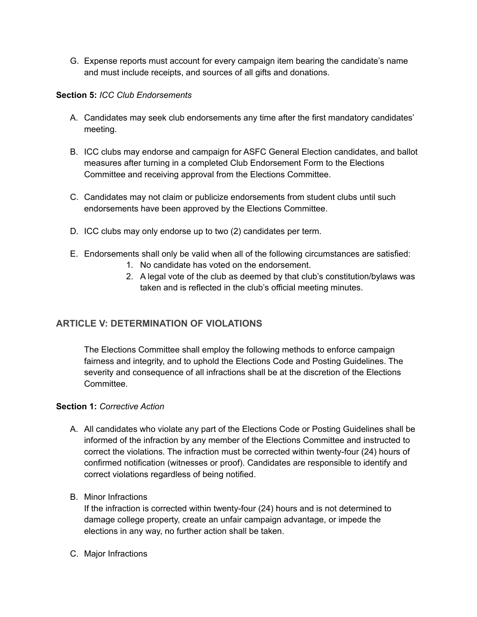G. Expense reports must account for every campaign item bearing the candidate's name and must include receipts, and sources of all gifts and donations.

## **Section 5:** *ICC Club Endorsements*

- A. Candidates may seek club endorsements any time after the first mandatory candidates' meeting.
- B. ICC clubs may endorse and campaign for ASFC General Election candidates, and ballot measures after turning in a completed Club Endorsement Form to the Elections Committee and receiving approval from the Elections Committee.
- C. Candidates may not claim or publicize endorsements from student clubs until such endorsements have been approved by the Elections Committee.
- D. ICC clubs may only endorse up to two (2) candidates per term.
- E. Endorsements shall only be valid when all of the following circumstances are satisfied:
	- 1. No candidate has voted on the endorsement.
	- 2. A legal vote of the club as deemed by that club's constitution/bylaws was taken and is reflected in the club's official meeting minutes.

# **ARTICLE V: DETERMINATION OF VIOLATIONS**

The Elections Committee shall employ the following methods to enforce campaign fairness and integrity, and to uphold the Elections Code and Posting Guidelines. The severity and consequence of all infractions shall be at the discretion of the Elections Committee.

#### **Section 1:** *Corrective Action*

- A. All candidates who violate any part of the Elections Code or Posting Guidelines shall be informed of the infraction by any member of the Elections Committee and instructed to correct the violations. The infraction must be corrected within twenty-four (24) hours of confirmed notification (witnesses or proof). Candidates are responsible to identify and correct violations regardless of being notified.
- B. Minor Infractions

If the infraction is corrected within twenty-four (24) hours and is not determined to damage college property, create an unfair campaign advantage, or impede the elections in any way, no further action shall be taken.

C. Major Infractions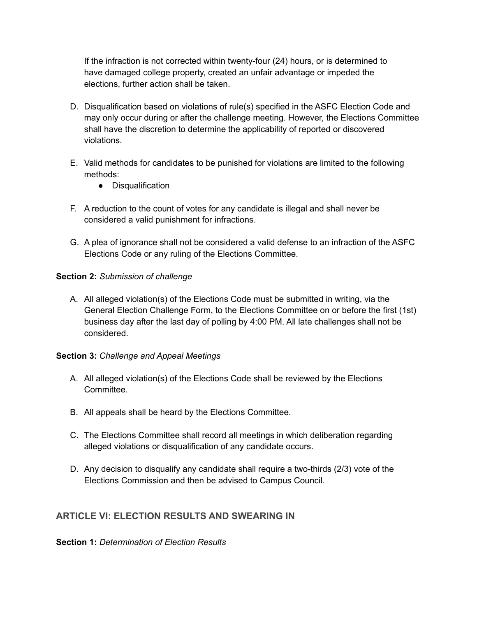If the infraction is not corrected within twenty-four (24) hours, or is determined to have damaged college property, created an unfair advantage or impeded the elections, further action shall be taken.

- D. Disqualification based on violations of rule(s) specified in the ASFC Election Code and may only occur during or after the challenge meeting. However, the Elections Committee shall have the discretion to determine the applicability of reported or discovered violations.
- E. Valid methods for candidates to be punished for violations are limited to the following methods:
	- Disqualification
- F. A reduction to the count of votes for any candidate is illegal and shall never be considered a valid punishment for infractions.
- G. A plea of ignorance shall not be considered a valid defense to an infraction of the ASFC Elections Code or any ruling of the Elections Committee.

## **Section 2:** *Submission of challenge*

A. All alleged violation(s) of the Elections Code must be submitted in writing, via the General Election Challenge Form, to the Elections Committee on or before the first (1st) business day after the last day of polling by 4:00 PM. All late challenges shall not be considered.

#### **Section 3:** *Challenge and Appeal Meetings*

- A. All alleged violation(s) of the Elections Code shall be reviewed by the Elections Committee.
- B. All appeals shall be heard by the Elections Committee.
- C. The Elections Committee shall record all meetings in which deliberation regarding alleged violations or disqualification of any candidate occurs.
- D. Any decision to disqualify any candidate shall require a two-thirds (2/3) vote of the Elections Commission and then be advised to Campus Council.

# **ARTICLE VI: ELECTION RESULTS AND SWEARING IN**

**Section 1:** *Determination of Election Results*